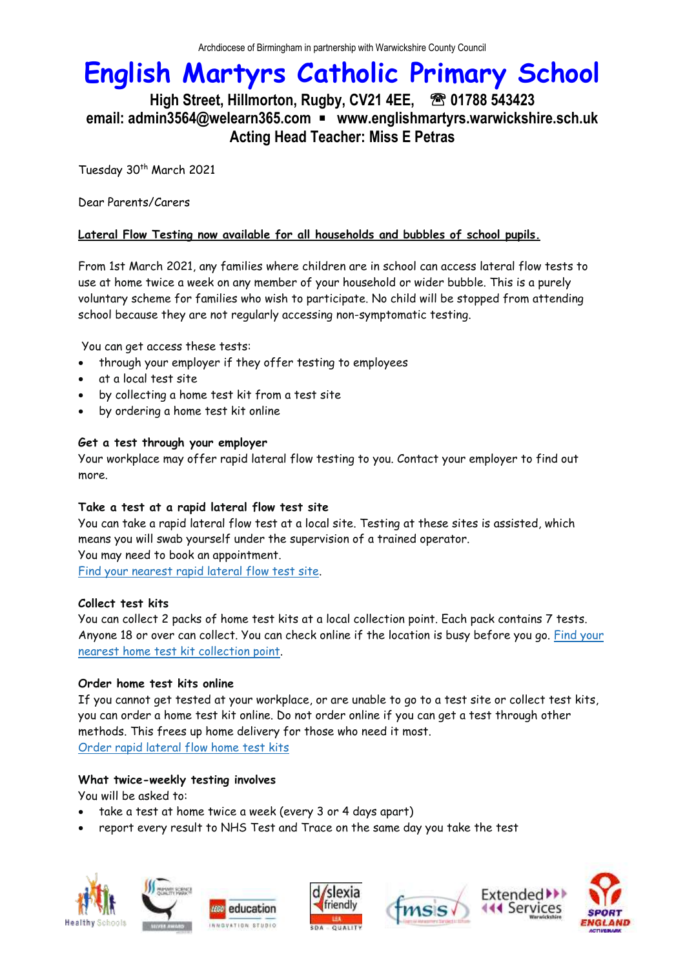## **English Martyrs Catholic Primary School**

### **High Street, Hillmorton, Rugby, CV21 4EE, 01788 543423 email: admin3564@welearn365.com** ▪ **www.englishmartyrs.warwickshire.sch.uk Acting Head Teacher: Miss E Petras**

Tuesday 30<sup>th</sup> March 2021

Dear Parents/Carers

#### **Lateral Flow Testing now available for all households and bubbles of school pupils.**

From 1st March 2021, any families where children are in school can access lateral flow tests to use at home twice a week on any member of your household or wider bubble. This is a purely voluntary scheme for families who wish to participate. No child will be stopped from attending school because they are not regularly accessing non-symptomatic testing.

You can get access these tests:

- through your employer if they offer testing to employees
- at a local test site
- by collecting a home test kit from a test site
- by ordering a home test kit online

#### **Get a test through your employer**

Your workplace may offer rapid lateral flow testing to you. Contact your employer to find out more.

#### **Take a test at a rapid lateral flow test site**

You can take a rapid lateral flow test at a local site. Testing at these sites is assisted, which means you will swab yourself under the supervision of a trained operator. You may need to book an appointment. Find your [nearest](https://maps.test-and-trace.nhs.uk/) rapid lateral flow test site.

#### **Collect test kits**

You can collect 2 packs of home test kits at a local collection point. Each pack contains 7 tests. Anyone 18 or over can collect. You can check online if the location is busy before you go. [Find](https://find-covid-19-rapid-test-sites.maps.test-and-trace.nhs.uk/) your nearest home test kit [collection](https://find-covid-19-rapid-test-sites.maps.test-and-trace.nhs.uk/) point.

#### **Order home test kits online**

If you cannot get tested at your workplace, or are unable to go to a test site or collect test kits, you can order a home test kit online. Do not order online if you can get a test through other methods. This frees up home delivery for those who need it most. Order rapid [lateral](https://www.gov.uk/order-coronavirus-rapid-lateral-flow-tests) flow home test kits

#### **What twice-weekly testing involves**

You will be asked to:

- take a test at home twice a week (every 3 or 4 days apart)
- report every result to NHS Test and Trace on the same day you take the test